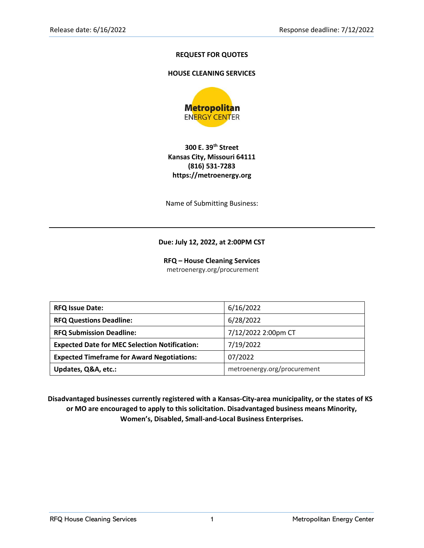## **REQUEST FOR QUOTES**

#### **HOUSE CLEANING SERVICES**



## **300 E. 39th Street Kansas City, Missouri 64111 (816) 531-7283 https://metroenergy.org**

Name of Submitting Business:

#### **Due: July 12, 2022, at 2:00PM CST**

**RFQ – House Cleaning Services** metroenergy.org/procurement

| <b>RFQ Issue Date:</b>                               | 6/16/2022                   |  |
|------------------------------------------------------|-----------------------------|--|
| <b>RFQ Questions Deadline:</b>                       | 6/28/2022                   |  |
| <b>RFQ Submission Deadline:</b>                      | 7/12/2022 2:00pm CT         |  |
| <b>Expected Date for MEC Selection Notification:</b> | 7/19/2022                   |  |
| <b>Expected Timeframe for Award Negotiations:</b>    | 07/2022                     |  |
| Updates, Q&A, etc.:                                  | metroenergy.org/procurement |  |

**Disadvantaged businesses currently registered with a Kansas-City-area municipality, or the states of KS or MO are encouraged to apply to this solicitation. Disadvantaged business means Minority, Women's, Disabled, Small-and-Local Business Enterprises.**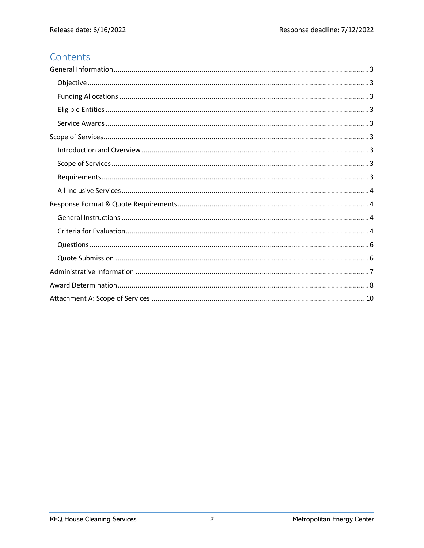# Contents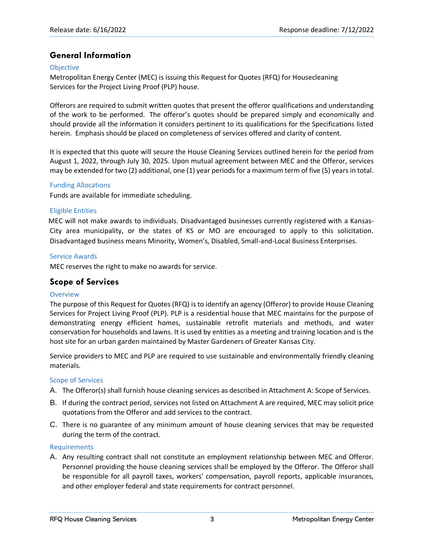# <span id="page-2-0"></span>**General Information**

#### <span id="page-2-1"></span>**Objective**

Metropolitan Energy Center (MEC) is issuing this Request for Quotes (RFQ) for Housecleaning Services for the Project Living Proof (PLP) house.

Offerors are required to submit written quotes that present the offeror qualifications and understanding of the work to be performed. The offeror's quotes should be prepared simply and economically and should provide all the information it considers pertinent to its qualifications for the Specifications listed herein. Emphasis should be placed on completeness of services offered and clarity of content.

It is expected that this quote will secure the House Cleaning Services outlined herein for the period from August 1, 2022, through July 30, 2025. Upon mutual agreement between MEC and the Offeror, services may be extended for two (2) additional, one (1) year periods for a maximum term of five (5) years in total.

#### <span id="page-2-2"></span>Funding Allocations

Funds are available for immediate scheduling.

## <span id="page-2-3"></span>Eligible Entities

MEC will not make awards to individuals. Disadvantaged businesses currently registered with a Kansas-City area municipality, or the states of KS or MO are encouraged to apply to this solicitation. Disadvantaged business means Minority, Women's, Disabled, Small-and-Local Business Enterprises.

#### <span id="page-2-4"></span>Service Awards

MEC reserves the right to make no awards for service.

# <span id="page-2-5"></span>**Scope of Services**

#### <span id="page-2-6"></span>**Overview**

The purpose of this Request for Quotes (RFQ) is to identify an agency (Offeror) to provide House Cleaning Services for Project Living Proof (PLP). PLP is a residential house that MEC maintains for the purpose of demonstrating energy efficient homes, sustainable retrofit materials and methods, and water conservation for households and lawns. It is used by entities as a meeting and training location and is the host site for an urban garden maintained by Master Gardeners of Greater Kansas City.

Service providers to MEC and PLP are required to use sustainable and environmentally friendly cleaning materials.

#### <span id="page-2-7"></span>Scope of Services

- A. The Offeror(s) shall furnish house cleaning services as described in Attachment A: Scope of Services.
- B. If during the contract period, services not listed on Attachment A are required, MEC may solicit price quotations from the Offeror and add services to the contract.
- C. There is no guarantee of any minimum amount of house cleaning services that may be requested during the term of the contract.

#### <span id="page-2-8"></span>Requirements

A. Any resulting contract shall not constitute an employment relationship between MEC and Offeror. Personnel providing the house cleaning services shall be employed by the Offeror. The Offeror shall be responsible for all payroll taxes, workers' compensation, payroll reports, applicable insurances, and other employer federal and state requirements for contract personnel.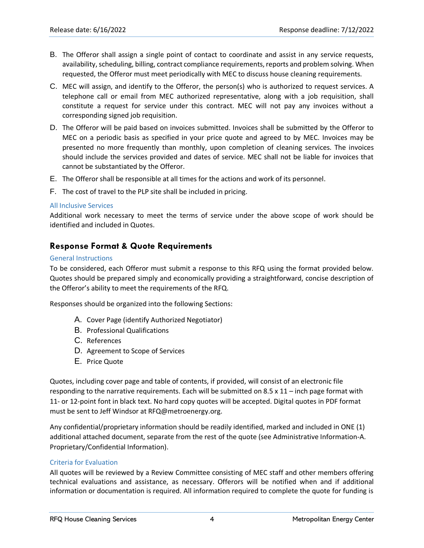- B. The Offeror shall assign a single point of contact to coordinate and assist in any service requests, availability, scheduling, billing, contract compliance requirements, reports and problem solving. When requested, the Offeror must meet periodically with MEC to discuss house cleaning requirements.
- C. MEC will assign, and identify to the Offeror, the person(s) who is authorized to request services. A telephone call or email from MEC authorized representative, along with a job requisition, shall constitute a request for service under this contract. MEC will not pay any invoices without a corresponding signed job requisition.
- D. The Offeror will be paid based on invoices submitted. Invoices shall be submitted by the Offeror to MEC on a periodic basis as specified in your price quote and agreed to by MEC. Invoices may be presented no more frequently than monthly, upon completion of cleaning services. The invoices should include the services provided and dates of service. MEC shall not be liable for invoices that cannot be substantiated by the Offeror.
- E. The Offeror shall be responsible at all times for the actions and work of its personnel.
- F. The cost of travel to the PLP site shall be included in pricing.

#### <span id="page-3-0"></span>All Inclusive Services

Additional work necessary to meet the terms of service under the above scope of work should be identified and included in Quotes.

# <span id="page-3-1"></span>**Response Format & Quote Requirements**

## <span id="page-3-2"></span>General Instructions

To be considered, each Offeror must submit a response to this RFQ using the format provided below. Quotes should be prepared simply and economically providing a straightforward, concise description of the Offeror's ability to meet the requirements of the RFQ.

Responses should be organized into the following Sections:

- A. Cover Page (identify Authorized Negotiator)
- B. Professional Qualifications
- C. References
- D. Agreement to Scope of Services
- E. Price Quote

Quotes, including cover page and table of contents, if provided, will consist of an electronic file responding to the narrative requirements. Each will be submitted on 8.5 x 11 – inch page format with 11- or 12-point font in black text. No hard copy quotes will be accepted. Digital quotes in PDF format must be sent to Jeff Windsor at RFQ@metroenergy.org.

Any confidential/proprietary information should be readily identified, marked and included in ONE (1) additional attached document, separate from the rest of the quote (see Administrative Information-A. Proprietary/Confidential Information).

## <span id="page-3-3"></span>Criteria for Evaluation

All quotes will be reviewed by a Review Committee consisting of MEC staff and other members offering technical evaluations and assistance, as necessary. Offerors will be notified when and if additional information or documentation is required. All information required to complete the quote for funding is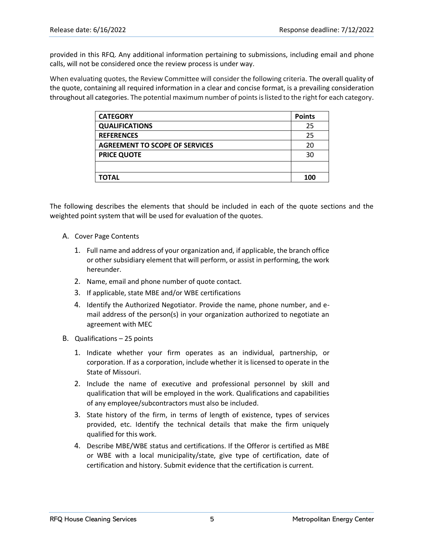provided in this RFQ. Any additional information pertaining to submissions, including email and phone calls, will not be considered once the review process is under way.

When evaluating quotes, the Review Committee will consider the following criteria. The overall quality of the quote, containing all required information in a clear and concise format, is a prevailing consideration throughout all categories. The potential maximum number of points is listed to the right for each category.

| <b>CATEGORY</b>                       | <b>Points</b> |
|---------------------------------------|---------------|
| <b>QUALIFICATIONS</b>                 | 25            |
| <b>REFERENCES</b>                     | 25            |
| <b>AGREEMENT TO SCOPE OF SERVICES</b> | 20            |
| <b>PRICE QUOTE</b>                    | 30            |
|                                       |               |
| <b>TOTAL</b>                          | 100           |
|                                       |               |

The following describes the elements that should be included in each of the quote sections and the weighted point system that will be used for evaluation of the quotes.

- A. Cover Page Contents
	- 1. Full name and address of your organization and, if applicable, the branch office or other subsidiary element that will perform, or assist in performing, the work hereunder.
	- 2. Name, email and phone number of quote contact.
	- 3. If applicable, state MBE and/or WBE certifications
	- 4. Identify the Authorized Negotiator. Provide the name, phone number, and email address of the person(s) in your organization authorized to negotiate an agreement with MEC
- B. Qualifications 25 points
	- 1. Indicate whether your firm operates as an individual, partnership, or corporation. If as a corporation, include whether it is licensed to operate in the State of Missouri.
	- 2. Include the name of executive and professional personnel by skill and qualification that will be employed in the work. Qualifications and capabilities of any employee/subcontractors must also be included.
	- 3. State history of the firm, in terms of length of existence, types of services provided, etc. Identify the technical details that make the firm uniquely qualified for this work.
	- 4. Describe MBE/WBE status and certifications. If the Offeror is certified as MBE or WBE with a local municipality/state, give type of certification, date of certification and history. Submit evidence that the certification is current.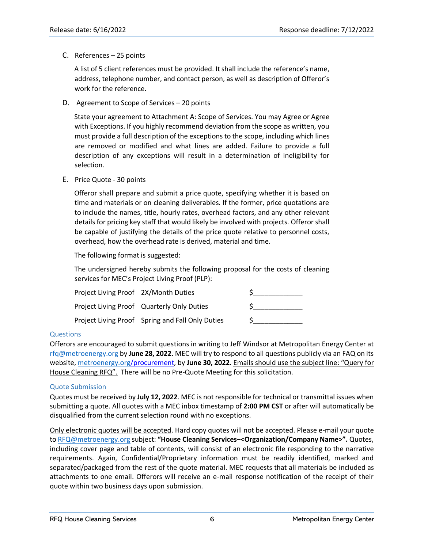C. References – 25 points

A list of 5 client references must be provided. It shall include the reference's name, address, telephone number, and contact person, as well as description of Offeror's work for the reference.

D. Agreement to Scope of Services – 20 points

State your agreement to Attachment A: Scope of Services. You may Agree or Agree with Exceptions. If you highly recommend deviation from the scope as written, you must provide a full description of the exceptions to the scope, including which lines are removed or modified and what lines are added. Failure to provide a full description of any exceptions will result in a determination of ineligibility for selection.

E. Price Quote - 30 points

Offeror shall prepare and submit a price quote, specifying whether it is based on time and materials or on cleaning deliverables. If the former, price quotations are to include the names, title, hourly rates, overhead factors, and any other relevant details for pricing key staff that would likely be involved with projects. Offeror shall be capable of justifying the details of the price quote relative to personnel costs, overhead, how the overhead rate is derived, material and time.

The following format is suggested:

The undersigned hereby submits the following proposal for the costs of cleaning services for MEC's Project Living Proof (PLP):

| Project Living Proof 2X/Month Duties |                                                  |  |
|--------------------------------------|--------------------------------------------------|--|
|                                      | Project Living Proof Quarterly Only Duties       |  |
|                                      | Project Living Proof Spring and Fall Only Duties |  |

## <span id="page-5-0"></span>**Questions**

Offerors are encouraged to submit questions in writing to Jeff Windsor at Metropolitan Energy Center at [rfq@metroenergy.org](mailto:rfq@metroenergy.org) by **June 28, 2022**. MEC will try to respond to all questions publicly via an FAQ on its website[, metroenergy.org/](http://metroenergy.org/)procurement, by **June 30, 2022**. Emails should use the subject line: "Query for House Cleaning RFQ". There will be no Pre-Quote Meeting for this solicitation.

#### <span id="page-5-1"></span>Quote Submission

Quotes must be received by **July 12, 2022**. MEC is not responsible for technical or transmittal issues when submitting a quote. All quotes with a MEC inbox timestamp of **2:00 PM CST** or after will automatically be disqualified from the current selection round with no exceptions.

Only electronic quotes will be accepted. Hard copy quotes will not be accepted. Please e-mail your quote to [RFQ@metroenergy.org](mailto:RFQ@metroenergy.org) subject: **"House Cleaning Services–<Organization/Company Name>".** Quotes, including cover page and table of contents, will consist of an electronic file responding to the narrative requirements. Again, Confidential/Proprietary information must be readily identified, marked and separated/packaged from the rest of the quote material. MEC requests that all materials be included as attachments to one email. Offerors will receive an e-mail response notification of the receipt of their quote within two business days upon submission.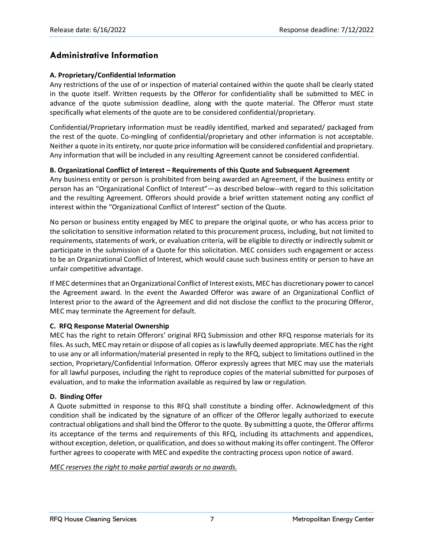# <span id="page-6-0"></span>**Administrative Information**

## **A. Proprietary/Confidential Information**

Any restrictions of the use of or inspection of material contained within the quote shall be clearly stated in the quote itself. Written requests by the Offeror for confidentiality shall be submitted to MEC in advance of the quote submission deadline, along with the quote material. The Offeror must state specifically what elements of the quote are to be considered confidential/proprietary.

Confidential/Proprietary information must be readily identified, marked and separated/ packaged from the rest of the quote. Co-mingling of confidential/proprietary and other information is not acceptable. Neither a quote in its entirety, nor quote price information will be considered confidential and proprietary. Any information that will be included in any resulting Agreement cannot be considered confidential.

## **B. Organizational Conflict of Interest – Requirements of this Quote and Subsequent Agreement**

Any business entity or person is prohibited from being awarded an Agreement, if the business entity or person has an "Organizational Conflict of Interest"—as described below--with regard to this solicitation and the resulting Agreement. Offerors should provide a brief written statement noting any conflict of interest within the "Organizational Conflict of Interest" section of the Quote.

No person or business entity engaged by MEC to prepare the original quote, or who has access prior to the solicitation to sensitive information related to this procurement process, including, but not limited to requirements, statements of work, or evaluation criteria, will be eligible to directly or indirectly submit or participate in the submission of a Quote for this solicitation. MEC considers such engagement or access to be an Organizational Conflict of Interest, which would cause such business entity or person to have an unfair competitive advantage.

If MEC determines that an Organizational Conflict of Interest exists, MEC has discretionary power to cancel the Agreement award. In the event the Awarded Offeror was aware of an Organizational Conflict of Interest prior to the award of the Agreement and did not disclose the conflict to the procuring Offeror, MEC may terminate the Agreement for default.

#### **C. RFQ Response Material Ownership**

MEC has the right to retain Offerors' original RFQ Submission and other RFQ response materials for its files. As such, MEC may retain or dispose of all copies as is lawfully deemed appropriate. MEC has the right to use any or all information/material presented in reply to the RFQ, subject to limitations outlined in the section, Proprietary/Confidential Information. Offeror expressly agrees that MEC may use the materials for all lawful purposes, including the right to reproduce copies of the material submitted for purposes of evaluation, and to make the information available as required by law or regulation.

#### **D. Binding Offer**

A Quote submitted in response to this RFQ shall constitute a binding offer. Acknowledgment of this condition shall be indicated by the signature of an officer of the Offeror legally authorized to execute contractual obligations and shall bind the Offeror to the quote. By submitting a quote, the Offeror affirms its acceptance of the terms and requirements of this RFQ, including its attachments and appendices, without exception, deletion, or qualification, and does so without making its offer contingent. The Offeror further agrees to cooperate with MEC and expedite the contracting process upon notice of award.

#### *MEC reserves the right to make partial awards or no awards.*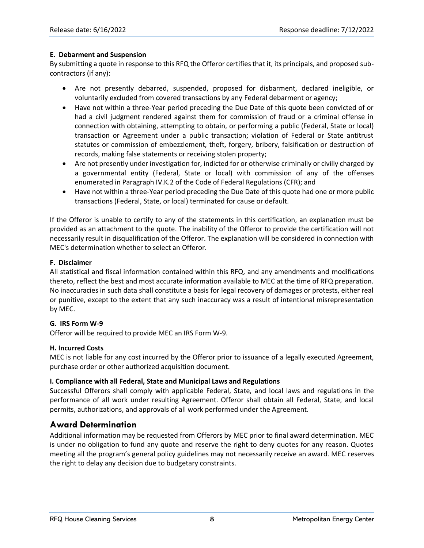## **E. Debarment and Suspension**

By submitting a quote in response to this RFQ the Offeror certifies that it, its principals, and proposed subcontractors (if any):

- Are not presently debarred, suspended, proposed for disbarment, declared ineligible, or voluntarily excluded from covered transactions by any Federal debarment or agency;
- Have not within a three-Year period preceding the Due Date of this quote been convicted of or had a civil judgment rendered against them for commission of fraud or a criminal offense in connection with obtaining, attempting to obtain, or performing a public (Federal, State or local) transaction or Agreement under a public transaction; violation of Federal or State antitrust statutes or commission of embezzlement, theft, forgery, bribery, falsification or destruction of records, making false statements or receiving stolen property;
- Are not presently under investigation for, indicted for or otherwise criminally or civilly charged by a governmental entity (Federal, State or local) with commission of any of the offenses enumerated in Paragraph IV.K.2 of the Code of Federal Regulations (CFR); and
- Have not within a three-Year period preceding the Due Date of this quote had one or more public transactions (Federal, State, or local) terminated for cause or default.

If the Offeror is unable to certify to any of the statements in this certification, an explanation must be provided as an attachment to the quote. The inability of the Offeror to provide the certification will not necessarily result in disqualification of the Offeror. The explanation will be considered in connection with MEC's determination whether to select an Offeror.

## **F. Disclaimer**

All statistical and fiscal information contained within this RFQ, and any amendments and modifications thereto, reflect the best and most accurate information available to MEC at the time of RFQ preparation. No inaccuracies in such data shall constitute a basis for legal recovery of damages or protests, either real or punitive, except to the extent that any such inaccuracy was a result of intentional misrepresentation by MEC.

## **G. IRS Form W-9**

Offeror will be required to provide MEC an IRS Form W-9.

## **H. Incurred Costs**

MEC is not liable for any cost incurred by the Offeror prior to issuance of a legally executed Agreement, purchase order or other authorized acquisition document.

#### **I. Compliance with all Federal, State and Municipal Laws and Regulations**

Successful Offerors shall comply with applicable Federal, State, and local laws and regulations in the performance of all work under resulting Agreement. Offeror shall obtain all Federal, State, and local permits, authorizations, and approvals of all work performed under the Agreement.

# <span id="page-7-0"></span>**Award Determination**

Additional information may be requested from Offerors by MEC prior to final award determination. MEC is under no obligation to fund any quote and reserve the right to deny quotes for any reason. Quotes meeting all the program's general policy guidelines may not necessarily receive an award. MEC reserves the right to delay any decision due to budgetary constraints.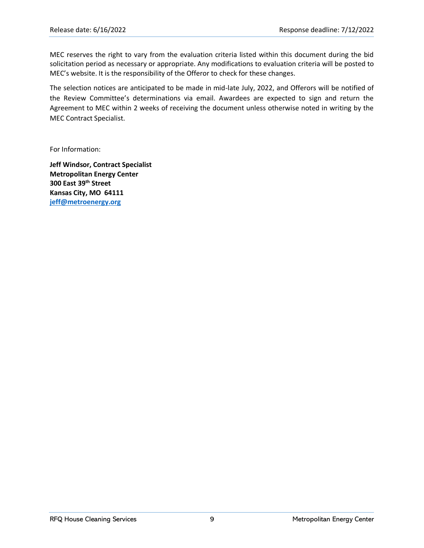MEC reserves the right to vary from the evaluation criteria listed within this document during the bid solicitation period as necessary or appropriate. Any modifications to evaluation criteria will be posted to MEC's website. It is the responsibility of the Offeror to check for these changes.

The selection notices are anticipated to be made in mid-late July, 2022, and Offerors will be notified of the Review Committee's determinations via email. Awardees are expected to sign and return the Agreement to MEC within 2 weeks of receiving the document unless otherwise noted in writing by the MEC Contract Specialist.

For Information:

**Jeff Windsor, Contract Specialist Metropolitan Energy Center 300 East 39th Street Kansas City, MO 64111 [jeff@metroenergy.org](mailto:jeff@metroenergy.org)**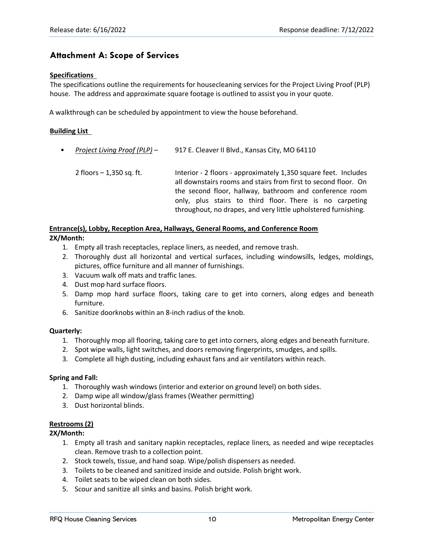# <span id="page-9-0"></span>**Attachment A: Scope of Services**

#### **Specifications**

The specifications outline the requirements for housecleaning services for the Project Living Proof (PLP) house. The address and approximate square footage is outlined to assist you in your quote.

A walkthrough can be scheduled by appointment to view the house beforehand.

#### **Building List**

| $\bullet$ | Project Living Proof (PLP) - | 917 E. Cleaver II Blvd., Kansas City, MO 64110                                                                                                                                               |  |
|-----------|------------------------------|----------------------------------------------------------------------------------------------------------------------------------------------------------------------------------------------|--|
|           | 2 floors $-1,350$ sq. ft.    | Interior - 2 floors - approximately 1,350 square feet. Includes<br>all downstairs rooms and stairs from first to second floor. On<br>the second floor, hallway, bathroom and conference room |  |
|           |                              | only, plus stairs to third floor. There is no carpeting<br>throughout, no drapes, and very little upholstered furnishing.                                                                    |  |

#### **Entrance(s), Lobby, Reception Area, Hallways, General Rooms, and Conference Room 2X/Month:**

- 1. Empty all trash receptacles, replace liners, as needed, and remove trash.
- 2. Thoroughly dust all horizontal and vertical surfaces, including windowsills, ledges, moldings, pictures, office furniture and all manner of furnishings.
- 3. Vacuum walk off mats and traffic lanes.
- 4. Dust mop hard surface floors.
- 5. Damp mop hard surface floors, taking care to get into corners, along edges and beneath furniture.
- 6. Sanitize doorknobs within an 8-inch radius of the knob.

#### **Quarterly:**

- 1. Thoroughly mop all flooring, taking care to get into corners, along edges and beneath furniture.
- 2. Spot wipe walls, light switches, and doors removing fingerprints, smudges, and spills.
- 3. Complete all high dusting, including exhaust fans and air ventilators within reach.

#### **Spring and Fall:**

- 1. Thoroughly wash windows (interior and exterior on ground level) on both sides.
- 2. Damp wipe all window/glass frames (Weather permitting)
- 3. Dust horizontal blinds.

#### **Restrooms (2)**

#### **2X/Month:**

- 1. Empty all trash and sanitary napkin receptacles, replace liners, as needed and wipe receptacles clean. Remove trash to a collection point.
- 2. Stock towels, tissue, and hand soap. Wipe/polish dispensers as needed.
- 3. Toilets to be cleaned and sanitized inside and outside. Polish bright work.
- 4. Toilet seats to be wiped clean on both sides.
- 5. Scour and sanitize all sinks and basins. Polish bright work.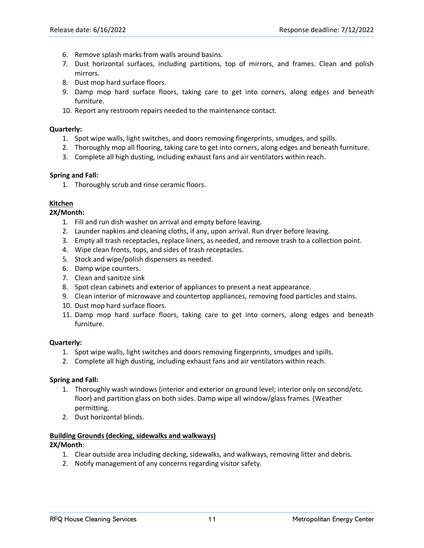- 6. Remove splash marks from walls around basins.
- 7. Dust horizontal surfaces, including partitions, top of mirrors, and frames. Clean and polish mirrors.
- 8. Dust mop hard surface floors.
- 9. Damp mop hard surface floors, taking care to get into corners, along edges and beneath furniture.
- 10. Report any restroom repairs needed to the maintenance contact.

#### **Quarterly:**

- 1. Spot wipe walls, light switches, and doors removing fingerprints, smudges, and spills.
- 2. Thoroughly mop all flooring, taking care to get into corners, along edges and beneath furniture.
- 3. Complete all high dusting, including exhaust fans and air ventilators within reach.

#### **Spring and Fall:**

1. Thoroughly scrub and rinse ceramic floors.

#### **Kitchen**

**2X/Month:** 

- 1. Fill and run dish washer on arrival and empty before leaving.
- 2. Launder napkins and cleaning cloths, if any, upon arrival. Run dryer before leaving.
- 3. Empty all trash receptacles, replace liners, as needed, and remove trash to a collection point.
- 4. Wipe clean fronts, tops, and sides of trash receptacles.
- 5. Stock and wipe/polish dispensers as needed.
- 6. Damp wipe counters.
- 7. Clean and sanitize sink
- 8. Spot clean cabinets and exterior of appliances to present a neat appearance.
- 9. Clean interior of microwave and countertop appliances, removing food particles and stains.
- 10. Dust mop hard surface floors.
- 11. Damp mop hard surface floors, taking care to get into corners, along edges and beneath furniture.

#### **Quarterly:**

- 1. Spot wipe walls, light switches and doors removing fingerprints, smudges and spills.
- 2. Complete all high dusting, including exhaust fans and air ventilators within reach.

#### **Spring and Fall:**

- 1. Thoroughly wash windows (interior and exterior on ground level; interior only on second/etc. floor) and partition glass on both sides. Damp wipe all window/glass frames. (Weather permitting.
- 2. Dust horizontal blinds.

#### **Building Grounds (decking, sidewalks and walkways)**

#### **2X/Month**:

- 1. Clear outside area including decking, sidewalks, and walkways, removing litter and debris.
- 2. Notify management of any concerns regarding visitor safety.